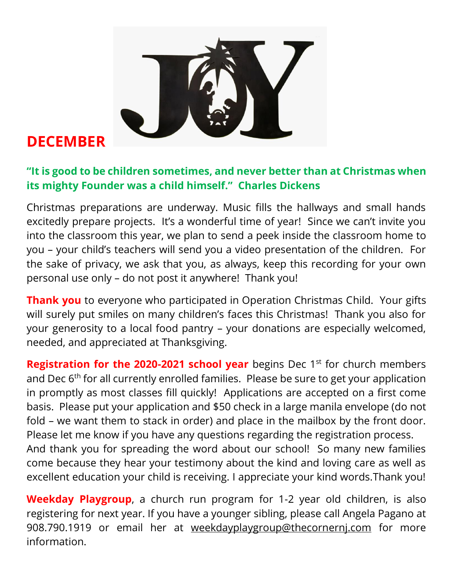

## **DECEMBER**

## **"It is good to be children sometimes, and never better than at Christmas when its mighty Founder was a child himself." Charles Dickens**

Christmas preparations are underway. Music fills the hallways and small hands excitedly prepare projects. It's a wonderful time of year! Since we can't invite you into the classroom this year, we plan to send a peek inside the classroom home to you – your child's teachers will send you a video presentation of the children. For the sake of privacy, we ask that you, as always, keep this recording for your own personal use only – do not post it anywhere! Thank you!

**Thank you** to everyone who participated in Operation Christmas Child. Your gifts will surely put smiles on many children's faces this Christmas! Thank you also for your generosity to a local food pantry – your donations are especially welcomed, needed, and appreciated at Thanksgiving.

**Registration for the 2020-2021 school year** begins Dec 1<sup>st</sup> for church members and Dec 6<sup>th</sup> for all currently enrolled families. Please be sure to get your application in promptly as most classes fill quickly! Applications are accepted on a first come basis. Please put your application and \$50 check in a large manila envelope (do not fold – we want them to stack in order) and place in the mailbox by the front door. Please let me know if you have any questions regarding the registration process. And thank you for spreading the word about our school! So many new families

come because they hear your testimony about the kind and loving care as well as excellent education your child is receiving. I appreciate your kind words.Thank you!

**Weekday Playgroup**, a church run program for 1-2 year old children, is also registering for next year. If you have a younger sibling, please call Angela Pagano at 908.790.1919 or email her at [weekdayplaygroup@thecornernj.com](mailto:weekdayplaygroup@thecornernj.com) for more information.